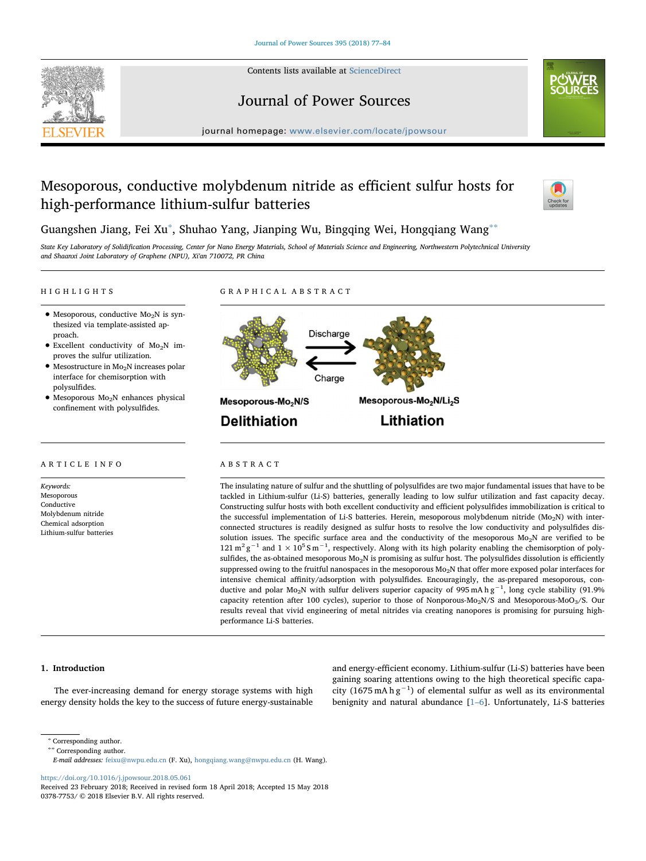

#### Contents lists available at [ScienceDirect](http://www.sciencedirect.com/science/journal/03787753)

Journal of Power Sources

journal homepage: [www.elsevier.com/locate/jpowsour](https://www.elsevier.com/locate/jpowsour)

# Mesoporous, conductive molybdenum nitride as efficient sulfur hosts for high-performance lithium-sulfur batteries



## Guangshen Jiang, Fei Xu<sup>[∗](#page-0-0)</sup>, Shuhao Yang, Jianping Wu, Bingqing Wei, Hongqiang Wang<sup>[∗∗](#page-0-1)</sup>

State Key Laboratory of Solidification Processing, Center for Nano Energy Materials, School of Materials Science and Engineering, Northwestern Polytechnical University and Shaanxi Joint Laboratory of Graphene (NPU), Xi'an 710072, PR China

GRAPHICAL ABSTRACT

#### HIGHLIGHTS

- $\bullet$  Mesoporous, conductive Mo<sub>2</sub>N is synthesized via template-assisted approach.
- $\bullet$  Excellent conductivity of Mo<sub>2</sub>N improves the sulfur utilization.
- $\bullet$  Mesostructure in Mo<sub>2</sub>N increases polar interface for chemisorption with polysulfides.
- Mesoporous Mo2N enhances physical confinement with polysulfides.

#### ARTICLE INFO

Keywords: Mesoporous Conductive Molybdenum nitride Chemical adsorption Lithium-sulfur batteries



### ABSTRACT

The insulating nature of sulfur and the shuttling of polysulfides are two major fundamental issues that have to be tackled in Lithium-sulfur (Li-S) batteries, generally leading to low sulfur utilization and fast capacity decay. Constructing sulfur hosts with both excellent conductivity and efficient polysulfides immobilization is critical to the successful implementation of Li-S batteries. Herein, mesoporous molybdenum nitride ( $Mo_2N$ ) with interconnected structures is readily designed as sulfur hosts to resolve the low conductivity and polysulfides dissolution issues. The specific surface area and the conductivity of the mesoporous  $Mo<sub>2</sub>N$  are verified to be 121 m<sup>2</sup> g<sup>-1</sup> and 1 × 10<sup>5</sup> S m<sup>-1</sup>, respectively. Along with its high polarity enabling the chemisorption of polysulfides, the as-obtained mesoporous  $Mo<sub>2</sub>N$  is promising as sulfur host. The polysulfides dissolution is efficiently suppressed owing to the fruitful nanospaces in the mesoporous Mo<sub>2</sub>N that offer more exposed polar interfaces for intensive chemical affinity/adsorption with polysulfides. Encouragingly, the as-prepared mesoporous, conductive and polar Mo<sub>2</sub>N with sulfur delivers superior capacity of 995 mA h g<sup>-1</sup>, long cycle stability (91.9% capacity retention after 100 cycles), superior to those of Nonporous-Mo<sub>2</sub>N/S and Mesoporous-MoO<sub>3</sub>/S. Our results reveal that vivid engineering of metal nitrides via creating nanopores is promising for pursuing highperformance Li-S batteries.

#### 1. Introduction

The ever-increasing demand for energy storage systems with high energy density holds the key to the success of future energy-sustainable and energy-efficient economy. Lithium-sulfur (Li-S) batteries have been gaining soaring attentions owing to the high theoretical specific capacity (1675 mA h  $g^{-1}$ ) of elemental sulfur as well as its environmental benignity and natural abundance [1–[6\]](#page--1-0). Unfortunately, Li-S batteries

<https://doi.org/10.1016/j.jpowsour.2018.05.061>

<span id="page-0-0"></span><sup>∗</sup> Corresponding author.

<span id="page-0-1"></span><sup>∗∗</sup> Corresponding author.

E-mail addresses: [feixu@nwpu.edu.cn](mailto:feixu@nwpu.edu.cn) (F. Xu), [hongqiang.wang@nwpu.edu.cn](mailto:hongqiang.wang@nwpu.edu.cn) (H. Wang).

Received 23 February 2018; Received in revised form 18 April 2018; Accepted 15 May 2018 0378-7753/ © 2018 Elsevier B.V. All rights reserved.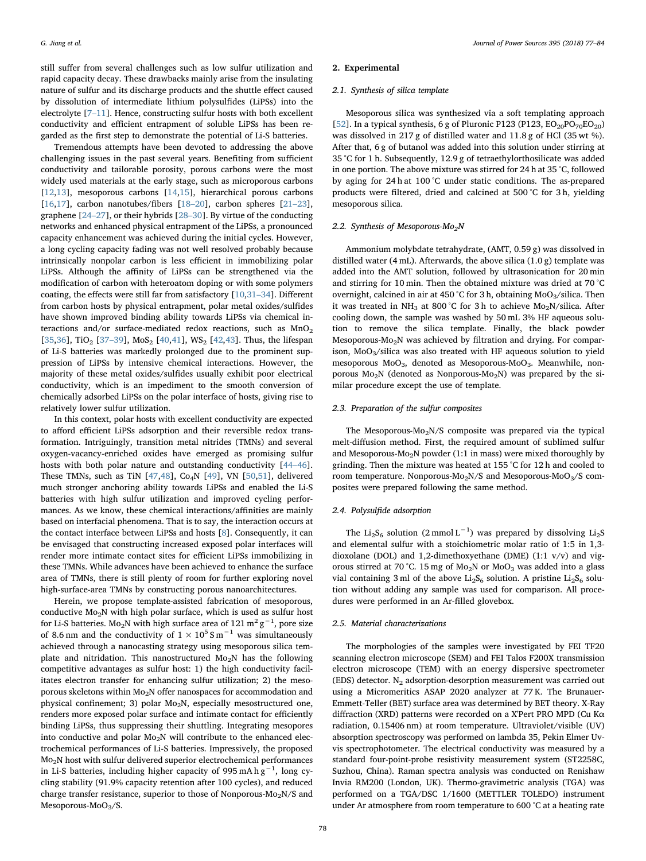still suffer from several challenges such as low sulfur utilization and rapid capacity decay. These drawbacks mainly arise from the insulating nature of sulfur and its discharge products and the shuttle effect caused by dissolution of intermediate lithium polysulfides (LiPSs) into the electrolyte [7–[11\]](#page--1-1). Hence, constructing sulfur hosts with both excellent conductivity and efficient entrapment of soluble LiPSs has been regarded as the first step to demonstrate the potential of Li-S batteries.

Tremendous attempts have been devoted to addressing the above challenging issues in the past several years. Benefiting from sufficient conductivity and tailorable porosity, porous carbons were the most widely used materials at the early stage, such as microporous carbons [[12](#page--1-2)[,13](#page--1-3)], mesoporous carbons [[14,](#page--1-4)[15\]](#page--1-5), hierarchical porous carbons [[16](#page--1-6)[,17](#page--1-7)], carbon nanotubes/fibers [18–[20\]](#page--1-8), carbon spheres [\[21](#page--1-9)–23], graphene [24–[27\]](#page--1-10), or their hybrids [28–[30\]](#page--1-11). By virtue of the conducting networks and enhanced physical entrapment of the LiPSs, a pronounced capacity enhancement was achieved during the initial cycles. However, a long cycling capacity fading was not well resolved probably because intrinsically nonpolar carbon is less efficient in immobilizing polar LiPSs. Although the affinity of LiPSs can be strengthened via the modification of carbon with heteroatom doping or with some polymers coating, the effects were still far from satisfactory [[10,](#page--1-12)31–[34\]](#page--1-13). Different from carbon hosts by physical entrapment, polar metal oxides/sulfides have shown improved binding ability towards LiPSs via chemical interactions and/or surface-mediated redox reactions, such as  $MnO<sub>2</sub>$ [[35](#page--1-14)[,36](#page--1-15)], TiO<sub>2</sub> [37-[39\]](#page--1-16), MoS<sub>2</sub> [\[40](#page--1-17)[,41](#page--1-18)], WS<sub>2</sub> [[42,](#page--1-19)[43\]](#page--1-20). Thus, the lifespan of Li-S batteries was markedly prolonged due to the prominent suppression of LiPSs by intensive chemical interactions. However, the majority of these metal oxides/sulfides usually exhibit poor electrical conductivity, which is an impediment to the smooth conversion of chemically adsorbed LiPSs on the polar interface of hosts, giving rise to relatively lower sulfur utilization.

In this context, polar hosts with excellent conductivity are expected to afford efficient LiPSs adsorption and their reversible redox transformation. Intriguingly, transition metal nitrides (TMNs) and several oxygen-vacancy-enriched oxides have emerged as promising sulfur hosts with both polar nature and outstanding conductivity [\[44](#page--1-21)–46]. These TMNs, such as TiN  $[47,48]$  $[47,48]$  $[47,48]$  $[47,48]$ , Co<sub>4</sub>N  $[49]$  $[49]$ , VN  $[50,51]$  $[50,51]$  $[50,51]$ , delivered much stronger anchoring ability towards LiPSs and enabled the Li-S batteries with high sulfur utilization and improved cycling performances. As we know, these chemical interactions/affinities are mainly based on interfacial phenomena. That is to say, the interaction occurs at the contact interface between LiPSs and hosts [\[8\]](#page--1-27). Consequently, it can be envisaged that constructing increased exposed polar interfaces will render more intimate contact sites for efficient LiPSs immobilizing in these TMNs. While advances have been achieved to enhance the surface area of TMNs, there is still plenty of room for further exploring novel high-surface-area TMNs by constructing porous nanoarchitectures.

Herein, we propose template-assisted fabrication of mesoporous, conductive Mo2N with high polar surface, which is used as sulfur host for Li-S batteries. Mo<sub>2</sub>N with high surface area of  $121\,\mathrm{m}^2\,\mathrm{g}^{-1}$ , pore size of 8.6 nm and the conductivity of  $1 \times 10^5$  S m<sup>-1</sup> was simultaneously achieved through a nanocasting strategy using mesoporous silica template and nitridation. This nanostructured  $Mo_2N$  has the following competitive advantages as sulfur host: 1) the high conductivity facilitates electron transfer for enhancing sulfur utilization; 2) the mesoporous skeletons within Mo<sub>2</sub>N offer nanospaces for accommodation and physical confinement; 3) polar  $Mo<sub>2</sub>N$ , especially mesostructured one, renders more exposed polar surface and intimate contact for efficiently binding LiPSs, thus suppressing their shuttling. Integrating mesopores into conductive and polar  $Mo<sub>2</sub>N$  will contribute to the enhanced electrochemical performances of Li-S batteries. Impressively, the proposed Mo<sub>2</sub>N host with sulfur delivered superior electrochemical performances in Li-S batteries, including higher capacity of 995 mA h g<sup>-1</sup>, long cycling stability (91.9% capacity retention after 100 cycles), and reduced charge transfer resistance, superior to those of Nonporous- $Mo<sub>2</sub>N/S$  and Mesoporous-MoO $3/S$ .

#### 2. Experimental

#### 2.1. Synthesis of silica template

Mesoporous silica was synthesized via a soft templating approach [[52\]](#page--1-28). In a typical synthesis, 6 g of Pluronic P123 (P123,  $EO_{20}PO_{70}EO_{20}$ ) was dissolved in 217 g of distilled water and 11.8 g of HCl (35 wt %). After that, 6 g of butanol was added into this solution under stirring at 35 °C for 1 h. Subsequently, 12.9 g of tetraethylorthosilicate was added in one portion. The above mixture was stirred for 24 h at 35 °C, followed by aging for 24 h at 100 °C under static conditions. The as-prepared products were filtered, dried and calcined at 500 °C for 3 h, yielding mesoporous silica.

#### 2.2. Synthesis of Mesoporous-Mo<sub>2</sub>N

Ammonium molybdate tetrahydrate, (AMT, 0.59 g) was dissolved in distilled water (4 mL). Afterwards, the above silica (1.0 g) template was added into the AMT solution, followed by ultrasonication for 20 min and stirring for 10 min. Then the obtained mixture was dried at 70 °C overnight, calcined in air at 450 °C for 3 h, obtaining  $MoO<sub>3</sub>/silica$ . Then it was treated in NH<sub>3</sub> at 800 °C for 3 h to achieve Mo<sub>2</sub>N/silica. After cooling down, the sample was washed by 50 mL 3% HF aqueous solution to remove the silica template. Finally, the black powder Mesoporous-Mo<sub>2</sub>N was achieved by filtration and drying. For comparison,  $MoO<sub>3</sub>/silica$  was also treated with HF aqueous solution to yield mesoporous  $MoO<sub>3</sub>$ , denoted as Mesoporous-Mo $O<sub>3</sub>$ . Meanwhile, nonporous  $Mo<sub>2</sub>N$  (denoted as Nonporous- $Mo<sub>2</sub>N$ ) was prepared by the similar procedure except the use of template.

#### 2.3. Preparation of the sulfur composites

The Mesoporous- $Mo<sub>2</sub>N/S$  composite was prepared via the typical melt-diffusion method. First, the required amount of sublimed sulfur and Mesoporous-Mo<sub>2</sub>N powder (1:1 in mass) were mixed thoroughly by grinding. Then the mixture was heated at 155 °C for 12 h and cooled to room temperature. Nonporous-Mo<sub>2</sub>N/S and Mesoporous-MoO<sub>3</sub>/S composites were prepared following the same method.

#### 2.4. Polysulfide adsorption

The Li<sub>2</sub>S<sub>6</sub> solution (2 mmol L<sup>-1</sup>) was prepared by dissolving Li<sub>2</sub>S and elemental sulfur with a stoichiometric molar ratio of 1:5 in 1,3 dioxolane (DOL) and 1,2-dimethoxyethane (DME) (1:1 v/v) and vigorous stirred at 70 °C. 15 mg of  $Mo<sub>2</sub>N$  or  $MoO<sub>3</sub>$  was added into a glass vial containing 3 ml of the above  $\rm Li_2S_6$  solution. A pristine  $\rm Li_2S_6$  solution without adding any sample was used for comparison. All procedures were performed in an Ar-filled glovebox.

#### 2.5. Material characterizations

The morphologies of the samples were investigated by FEI TF20 scanning electron microscope (SEM) and FEI Talos F200X transmission electron microscope (TEM) with an energy dispersive spectrometer (EDS) detector.  $N_2$  adsorption-desorption measurement was carried out using a Micromeritics ASAP 2020 analyzer at 77 K. The Brunauer-Emmett-Teller (BET) surface area was determined by BET theory. X-Ray diffraction (XRD) patterns were recorded on a X'Pert PRO MPD (Cu Kα radiation, 0.15406 nm) at room temperature. Ultraviolet/visible (UV) absorption spectroscopy was performed on lambda 35, Pekin Elmer Uvvis spectrophotometer. The electrical conductivity was measured by a standard four-point-probe resistivity measurement system (ST2258C, Suzhou, China). Raman spectra analysis was conducted on Renishaw Invia RM200 (London, UK). Thermo-gravimetric analysis (TGA) was performed on a TGA/DSC 1/1600 (METTLER TOLEDO) instrument under Ar atmosphere from room temperature to 600 °C at a heating rate